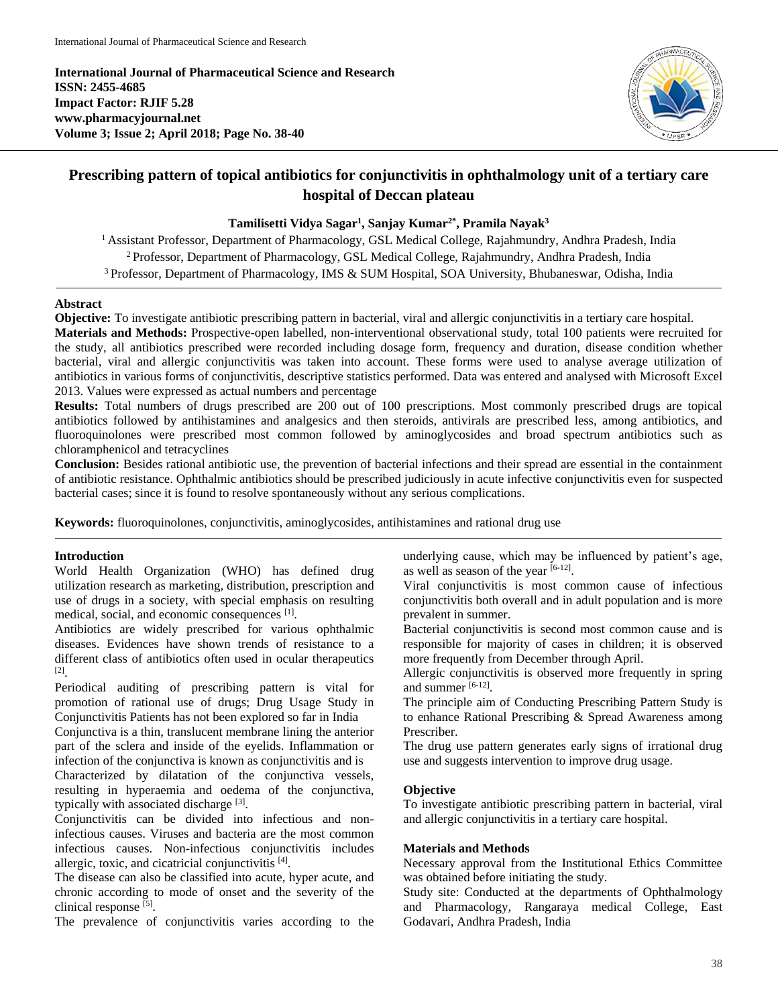**International Journal of Pharmaceutical Science and Research ISSN: 2455-4685 Impact Factor: RJIF 5.28 www.pharmacyjournal.net Volume 3; Issue 2; April 2018; Page No. 38-40**



# **Prescribing pattern of topical antibiotics for conjunctivitis in ophthalmology unit of a tertiary care hospital of Deccan plateau**

# **Tamilisetti Vidya Sagar<sup>1</sup> , Sanjay Kumar2\* , Pramila Nayak<sup>3</sup>**

<sup>1</sup> Assistant Professor, Department of Pharmacology, GSL Medical College, Rajahmundry, Andhra Pradesh, India <sup>2</sup> Professor, Department of Pharmacology, GSL Medical College, Rajahmundry, Andhra Pradesh, India <sup>3</sup> Professor, Department of Pharmacology, IMS & SUM Hospital, SOA University, Bhubaneswar, Odisha, India

#### **Abstract**

**Objective:** To investigate antibiotic prescribing pattern in bacterial, viral and allergic conjunctivitis in a tertiary care hospital.

**Materials and Methods:** Prospective-open labelled, non-interventional observational study, total 100 patients were recruited for the study, all antibiotics prescribed were recorded including dosage form, frequency and duration, disease condition whether bacterial, viral and allergic conjunctivitis was taken into account. These forms were used to analyse average utilization of antibiotics in various forms of conjunctivitis, descriptive statistics performed. Data was entered and analysed with Microsoft Excel 2013. Values were expressed as actual numbers and percentage

**Results:** Total numbers of drugs prescribed are 200 out of 100 prescriptions. Most commonly prescribed drugs are topical antibiotics followed by antihistamines and analgesics and then steroids, antivirals are prescribed less, among antibiotics, and fluoroquinolones were prescribed most common followed by aminoglycosides and broad spectrum antibiotics such as chloramphenicol and tetracyclines

**Conclusion:** Besides rational antibiotic use, the prevention of bacterial infections and their spread are essential in the containment of antibiotic resistance. Ophthalmic antibiotics should be prescribed judiciously in acute infective conjunctivitis even for suspected bacterial cases; since it is found to resolve spontaneously without any serious complications.

**Keywords:** fluoroquinolones, conjunctivitis, aminoglycosides, antihistamines and rational drug use

#### **Introduction**

World Health Organization (WHO) has defined drug utilization research as marketing, distribution, prescription and use of drugs in a society, with special emphasis on resulting medical, social, and economic consequences [1].

Antibiotics are widely prescribed for various ophthalmic diseases. Evidences have shown trends of resistance to a different class of antibiotics often used in ocular therapeutics [2] .

Periodical auditing of prescribing pattern is vital for promotion of rational use of drugs; Drug Usage Study in Conjunctivitis Patients has not been explored so far in India

Conjunctiva is a thin, translucent membrane lining the anterior part of the sclera and inside of the eyelids. Inflammation or infection of the conjunctiva is known as conjunctivitis and is

Characterized by dilatation of the conjunctiva vessels, resulting in hyperaemia and oedema of the conjunctiva, typically with associated discharge [3].

Conjunctivitis can be divided into infectious and noninfectious causes. Viruses and bacteria are the most common infectious causes. Non-infectious conjunctivitis includes allergic, toxic, and cicatricial conjunctivitis [4].

The disease can also be classified into acute, hyper acute, and chronic according to mode of onset and the severity of the clinical response<sup>[5]</sup>.

The prevalence of conjunctivitis varies according to the

underlying cause, which may be influenced by patient's age, as well as season of the year  $[6-12]$ .

Viral conjunctivitis is most common cause of infectious conjunctivitis both overall and in adult population and is more prevalent in summer.

Bacterial conjunctivitis is second most common cause and is responsible for majority of cases in children; it is observed more frequently from December through April.

Allergic conjunctivitis is observed more frequently in spring and summer [6-12].

The principle aim of Conducting Prescribing Pattern Study is to enhance Rational Prescribing & Spread Awareness among Prescriber.

The drug use pattern generates early signs of irrational drug use and suggests intervention to improve drug usage.

#### **Objective**

To investigate antibiotic prescribing pattern in bacterial, viral and allergic conjunctivitis in a tertiary care hospital.

#### **Materials and Methods**

Necessary approval from the Institutional Ethics Committee was obtained before initiating the study.

Study site: Conducted at the departments of Ophthalmology and Pharmacology, Rangaraya medical College, East Godavari, Andhra Pradesh, India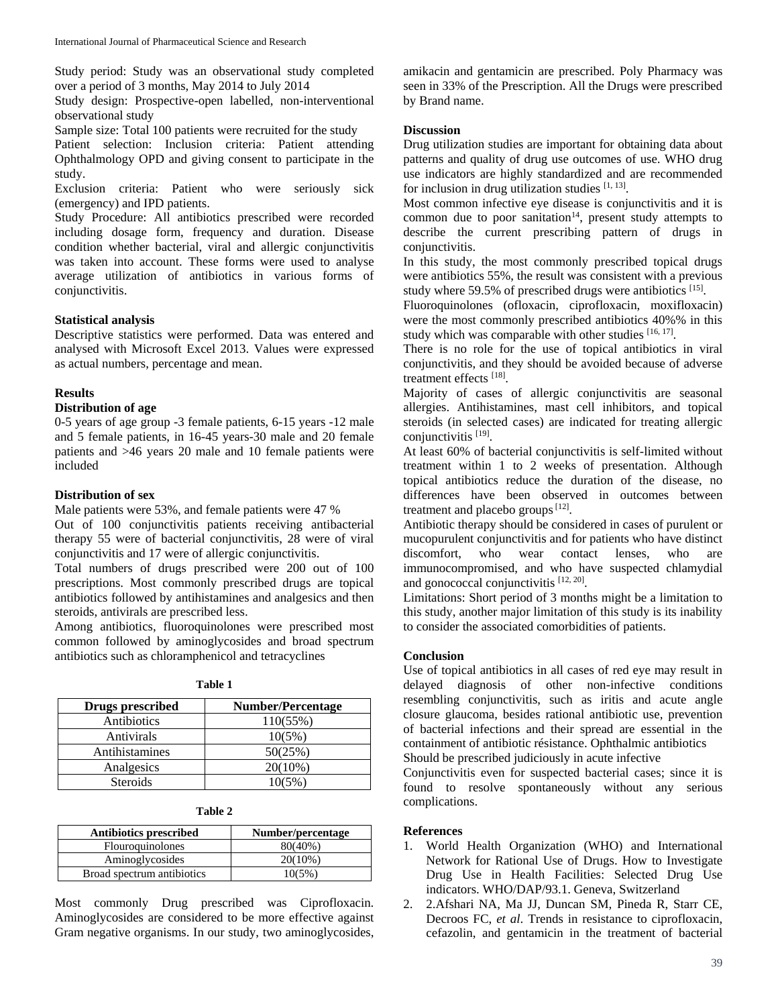Study period: Study was an observational study completed over a period of 3 months, May 2014 to July 2014

Study design: Prospective-open labelled, non-interventional observational study

Sample size: Total 100 patients were recruited for the study

Patient selection: Inclusion criteria: Patient attending Ophthalmology OPD and giving consent to participate in the study.

Exclusion criteria: Patient who were seriously sick (emergency) and IPD patients.

Study Procedure: All antibiotics prescribed were recorded including dosage form, frequency and duration. Disease condition whether bacterial, viral and allergic conjunctivitis was taken into account. These forms were used to analyse average utilization of antibiotics in various forms of conjunctivitis.

# **Statistical analysis**

Descriptive statistics were performed. Data was entered and analysed with Microsoft Excel 2013. Values were expressed as actual numbers, percentage and mean.

#### **Results**

# **Distribution of age**

0-5 years of age group -3 female patients, 6-15 years -12 male and 5 female patients, in 16-45 years-30 male and 20 female patients and >46 years 20 male and 10 female patients were included

# **Distribution of sex**

Male patients were 53%, and female patients were 47 % Out of 100 conjunctivitis patients receiving antibacterial therapy 55 were of bacterial conjunctivitis, 28 were of viral conjunctivitis and 17 were of allergic conjunctivitis.

Total numbers of drugs prescribed were 200 out of 100 prescriptions. Most commonly prescribed drugs are topical antibiotics followed by antihistamines and analgesics and then steroids, antivirals are prescribed less.

Among antibiotics, fluoroquinolones were prescribed most common followed by aminoglycosides and broad spectrum antibiotics such as chloramphenicol and tetracyclines

| Drugs prescribed | <b>Number/Percentage</b> |
|------------------|--------------------------|
| Antibiotics      | 110(55%)                 |
| Antivirals       | 10(5%)                   |
| Antihistamines   | 50(25%)                  |
| Analgesics       | $20(10\%)$               |
| <b>Steroids</b>  | 10(5%)                   |

| <b>Antibiotics prescribed</b> | Number/percentage |
|-------------------------------|-------------------|
| <b>Flouroquinolones</b>       | 80(40%)           |
| Aminoglycosides               | $20(10\%)$        |
| Broad spectrum antibiotics    | 10(5%)            |

Most commonly Drug prescribed was Ciprofloxacin. Aminoglycosides are considered to be more effective against Gram negative organisms. In our study, two aminoglycosides,

amikacin and gentamicin are prescribed. Poly Pharmacy was seen in 33% of the Prescription. All the Drugs were prescribed by Brand name.

# **Discussion**

Drug utilization studies are important for obtaining data about patterns and quality of drug use outcomes of use. WHO drug use indicators are highly standardized and are recommended for inclusion in drug utilization studies [1, 13].

Most common infective eye disease is conjunctivitis and it is common due to poor sanitation<sup>14</sup>, present study attempts to describe the current prescribing pattern of drugs in conjunctivitis.

In this study, the most commonly prescribed topical drugs were antibiotics 55%, the result was consistent with a previous study where 59.5% of prescribed drugs were antibiotics [15].

Fluoroquinolones (ofloxacin, ciprofloxacin, moxifloxacin) were the most commonly prescribed antibiotics 40%% in this study which was comparable with other studies [16, 17].

There is no role for the use of topical antibiotics in viral conjunctivitis, and they should be avoided because of adverse treatment effects [18].

Majority of cases of allergic conjunctivitis are seasonal allergies. Antihistamines, mast cell inhibitors, and topical steroids (in selected cases) are indicated for treating allergic conjunctivitis [19].

At least 60% of bacterial conjunctivitis is self-limited without treatment within 1 to 2 weeks of presentation. Although topical antibiotics reduce the duration of the disease, no differences have been observed in outcomes between treatment and placebo groups  $[12]$ .

Antibiotic therapy should be considered in cases of purulent or mucopurulent conjunctivitis and for patients who have distinct discomfort, who wear contact lenses, who are immunocompromised, and who have suspected chlamydial and gonococcal conjunctivitis [12, 20].

Limitations: Short period of 3 months might be a limitation to this study, another major limitation of this study is its inability to consider the associated comorbidities of patients.

# **Conclusion**

Use of topical antibiotics in all cases of red eye may result in delayed diagnosis of other non-infective conditions resembling conjunctivitis, such as iritis and acute angle closure glaucoma, besides rational antibiotic use, prevention of bacterial infections and their spread are essential in the containment of antibiotic résistance. Ophthalmic antibiotics Should be prescribed judiciously in acute infective

Conjunctivitis even for suspected bacterial cases; since it is found to resolve spontaneously without any serious complications.

# **References**

- 1. World Health Organization (WHO) and International Network for Rational Use of Drugs. How to Investigate Drug Use in Health Facilities: Selected Drug Use indicators. WHO/DAP/93.1. Geneva, Switzerland
- 2. 2.Afshari NA, Ma JJ, Duncan SM, Pineda R, Starr CE, Decroos FC, *et al*. Trends in resistance to ciprofloxacin, cefazolin, and gentamicin in the treatment of bacterial